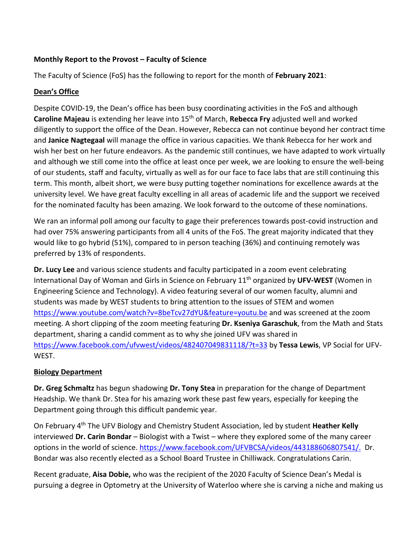### **Monthly Report to the Provost – Faculty of Science**

The Faculty of Science (FoS) has the following to report for the month of **February 2021**:

## **Dean's Office**

Despite COVID-19, the Dean's office has been busy coordinating activities in the FoS and although **Caroline Majeau** is extending her leave into 15<sup>th</sup> of March, **Rebecca Fry** adjusted well and worked diligently to support the office of the Dean. However, Rebecca can not continue beyond her contract time and **Janice Nagtegaal** will manage the office in various capacities. We thank Rebecca for her work and wish her best on her future endeavors. As the pandemic still continues, we have adapted to work virtually and although we still come into the office at least once per week, we are looking to ensure the well-being of our students, staff and faculty, virtually as well as for our face to face labs that are still continuing this term. This month, albeit short, we were busy putting together nominations for excellence awards at the university level. We have great faculty excelling in all areas of academic life and the support we received for the nominated faculty has been amazing. We look forward to the outcome of these nominations.

We ran an informal poll among our faculty to gage their preferences towards post-covid instruction and had over 75% answering participants from all 4 units of the FoS. The great majority indicated that they would like to go hybrid (51%), compared to in person teaching (36%) and continuing remotely was preferred by 13% of respondents.

**Dr. Lucy Lee** and various science students and faculty participated in a zoom event celebrating International Day of Woman and Girls in Science on February 11th organized by **UFV-WEST** (Women in Engineering Science and Technology). A video featuring several of our women faculty, alumni and students was made by WEST students to bring attention to the issues of STEM and women <https://www.youtube.com/watch?v=8beTcv27dYU&feature=youtu.be> and was screened at the zoom meeting. A short clipping of the zoom meeting featuring **Dr. Kseniya Garaschuk**, from the Math and Stats department, sharing a candid comment as to why she joined UFV was shared in <https://www.facebook.com/ufvwest/videos/482407049831118/?t=33> by **Tessa Lewis**, VP Social for UFV-WEST.

#### **Biology Department**

**Dr. Greg Schmaltz** has begun shadowing **Dr. Tony Stea** in preparation for the change of Department Headship. We thank Dr. Stea for his amazing work these past few years, especially for keeping the Department going through this difficult pandemic year.

On February 4th The UFV Biology and Chemistry Student Association, led by student **Heather Kelly** interviewed **Dr. Carin Bondar** – Biologist with a Twist – where they explored some of the many career options in the world of science. [https://www.facebook.com/UFVBCSA/videos/443188606807541/.](https://www.facebook.com/UFVBCSA/videos/443188606807541/) Dr. Bondar was also recently elected as a School Board Trustee in Chilliwack. Congratulations Carin.

Recent graduate, **Aisa Dobie,** who was the recipient of the 2020 Faculty of Science Dean's Medal is pursuing a degree in Optometry at the University of Waterloo where she is carving a niche and making us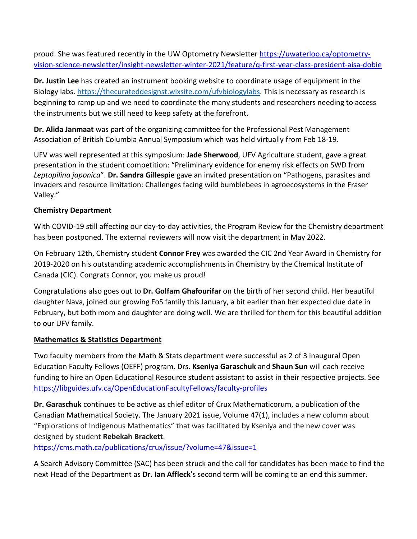proud. She was featured recently in the UW Optometry Newslette[r https://uwaterloo.ca/optometry](https://linkprotect.cudasvc.com/url?a=https%3a%2f%2fuwaterloo.ca%2foptometry-vision-science-newsletter%2finsight-newsletter-winter-2021%2ffeature%2fq-first-year-class-president-aisa-dobie&c=E,1,LicUN9epHyzUp4q6MPeRM5ok_1oI8GZJV2pxZwkUCjZwxgx5lvWr3b0uMi4nxM8phe2m54R_TeupXZIAHwup-SHK6opF1xr1epB6AStMxyy8UUkbdT2OEPgEOPs,&typo=1)[vision-science-newsletter/insight-newsletter-winter-2021/feature/q-first-year-class-president-aisa-dobie](https://linkprotect.cudasvc.com/url?a=https%3a%2f%2fuwaterloo.ca%2foptometry-vision-science-newsletter%2finsight-newsletter-winter-2021%2ffeature%2fq-first-year-class-president-aisa-dobie&c=E,1,LicUN9epHyzUp4q6MPeRM5ok_1oI8GZJV2pxZwkUCjZwxgx5lvWr3b0uMi4nxM8phe2m54R_TeupXZIAHwup-SHK6opF1xr1epB6AStMxyy8UUkbdT2OEPgEOPs,&typo=1) 

**Dr. Justin Lee** has created an instrument booking website to coordinate usage of equipment in the Biology labs. [https://thecurateddesignst.wixsite.com/ufvbiologylabs.](https://thecurateddesignst.wixsite.com/ufvbiologylabs) This is necessary as research is beginning to ramp up and we need to coordinate the many students and researchers needing to access the instruments but we still need to keep safety at the forefront.

**Dr. Alida Janmaat** was part of the organizing committee for the Professional Pest Management Association of British Columbia Annual Symposium which was held virtually from Feb 18-19.

UFV was well represented at this symposium: **Jade Sherwood**, UFV Agriculture student, gave a great presentation in the student competition: "Preliminary evidence for enemy risk effects on SWD from *Leptopilina japonica*". **Dr. Sandra Gillespie** gave an invited presentation on "Pathogens, parasites and invaders and resource limitation: Challenges facing wild bumblebees in agroecosystems in the Fraser Valley."

## **Chemistry Department**

With COVID-19 still affecting our day-to-day activities, the Program Review for the Chemistry department has been postponed. The external reviewers will now visit the department in May 2022.

On February 12th, Chemistry student **Connor Frey** was awarded the CIC 2nd Year Award in Chemistry for 2019-2020 on his outstanding academic accomplishments in Chemistry by the Chemical Institute of Canada (CIC). Congrats Connor, you make us proud!

Congratulations also goes out to **Dr. Golfam Ghafourifar** on the birth of her second child. Her beautiful daughter Nava, joined our growing FoS family this January, a bit earlier than her expected due date in February, but both mom and daughter are doing well. We are thrilled for them for this beautiful addition to our UFV family.

#### **Mathematics & Statistics Department**

Two faculty members from the Math & Stats department were successful as 2 of 3 inaugural Open Education Faculty Fellows (OEFF) program. Drs. **Kseniya Garaschuk** and **Shaun Sun** will each receive funding to hire an Open Educational Resource student assistant to assist in their respective projects. See <https://libguides.ufv.ca/OpenEducationFacultyFellows/faculty-profiles>

**Dr. Garaschuk** continues to be active as chief editor of Crux Mathematicorum, a publication of the Canadian Mathematical Society. The January 2021 issue, Volume 47(1), includes a new column about "Explorations of Indigenous Mathematics" that was facilitated by Kseniya and the new cover was designed by student **Rebekah Brackett**.

<https://cms.math.ca/publications/crux/issue/?volume=47&issue=1>

A Search Advisory Committee (SAC) has been struck and the call for candidates has been made to find the next Head of the Department as **Dr. Ian Affleck**'s second term will be coming to an end this summer.